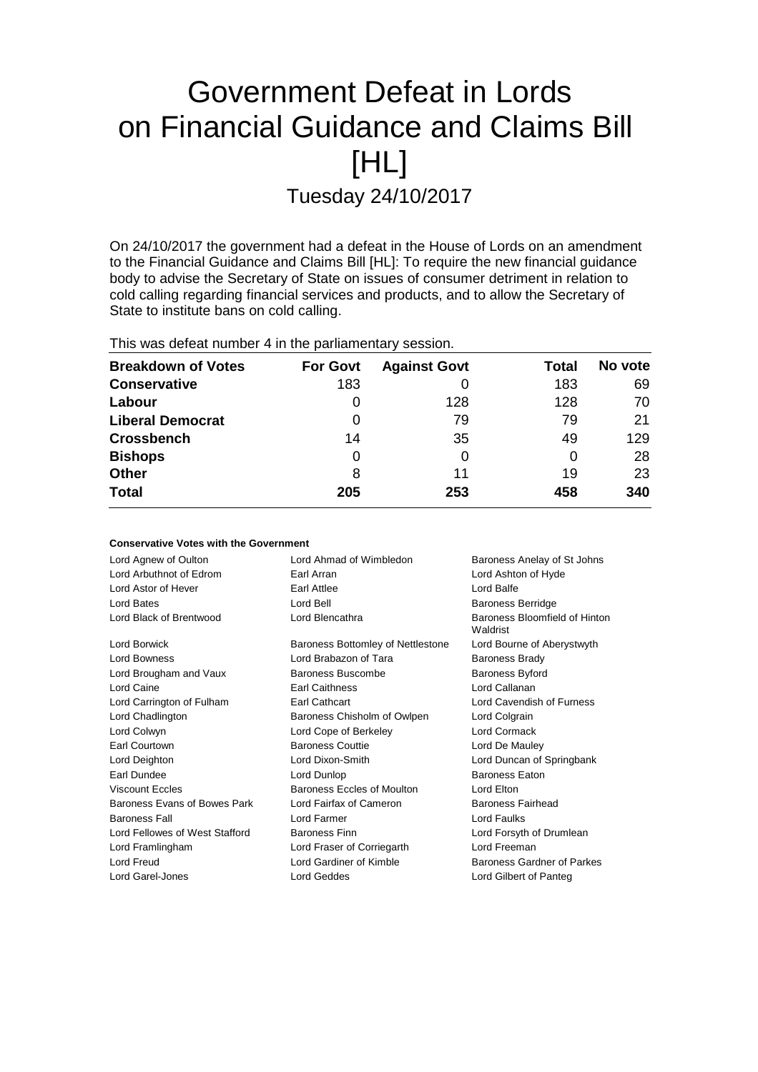# Government Defeat in Lords on Financial Guidance and Claims Bill [HL] Tuesday 24/10/2017

On 24/10/2017 the government had a defeat in the House of Lords on an amendment to the Financial Guidance and Claims Bill [HL]: To require the new financial guidance body to advise the Secretary of State on issues of consumer detriment in relation to cold calling regarding financial services and products, and to allow the Secretary of State to institute bans on cold calling.

| This was defeat number 4 in the parliamentary session. |  |
|--------------------------------------------------------|--|
|--------------------------------------------------------|--|

**Conservative Votes with the Government**

| <b>Breakdown of Votes</b> | <b>For Govt</b> | <b>Against Govt</b> | Total | No vote |
|---------------------------|-----------------|---------------------|-------|---------|
| <b>Conservative</b>       | 183             | O                   | 183   | 69      |
| Labour                    | 0               | 128                 | 128   | 70      |
| <b>Liberal Democrat</b>   | 0               | 79                  | 79    | 21      |
| <b>Crossbench</b>         | 14              | 35                  | 49    | 129     |
| <b>Bishops</b>            | 0               | 0                   | 0     | 28      |
| <b>Other</b>              | 8               | 11                  | 19    | 23      |
| <b>Total</b>              | 205             | 253                 | 458   | 340     |

| OUNSCRYGUYG YOLGG WILLI LIIG OOYGHIINGIN |                                   |                                           |  |
|------------------------------------------|-----------------------------------|-------------------------------------------|--|
| Lord Agnew of Oulton                     | Lord Ahmad of Wimbledon           | Baroness Anelay of St Johns               |  |
| Lord Arbuthnot of Edrom                  | Earl Arran                        | Lord Ashton of Hyde                       |  |
| Lord Astor of Hever                      | Earl Attlee                       | Lord Balfe                                |  |
| Lord Bates                               | Lord Bell                         | <b>Baroness Berridge</b>                  |  |
| Lord Black of Brentwood                  | Lord Blencathra                   | Baroness Bloomfield of Hinton<br>Waldrist |  |
| Lord Borwick                             | Baroness Bottomley of Nettlestone | Lord Bourne of Aberystwyth                |  |
| <b>Lord Bowness</b>                      | Lord Brabazon of Tara             | <b>Baroness Brady</b>                     |  |
| Lord Brougham and Vaux                   | Baroness Buscombe                 | <b>Baroness Byford</b>                    |  |
| Lord Caine                               | <b>Earl Caithness</b>             | Lord Callanan                             |  |
| Lord Carrington of Fulham                | <b>Earl Cathcart</b>              | Lord Cavendish of Furness                 |  |
| Lord Chadlington                         | Baroness Chisholm of Owlpen       | Lord Colgrain                             |  |
| Lord Colwyn                              | Lord Cope of Berkeley             | Lord Cormack                              |  |
| Earl Courtown                            | <b>Baroness Couttie</b>           | Lord De Mauley                            |  |
| Lord Deighton                            | Lord Dixon-Smith                  | Lord Duncan of Springbank                 |  |
| Earl Dundee                              | Lord Dunlop                       | <b>Baroness Eaton</b>                     |  |
| <b>Viscount Eccles</b>                   | Baroness Eccles of Moulton        | Lord Elton                                |  |
| Baroness Evans of Bowes Park             | Lord Fairfax of Cameron           | Baroness Fairhead                         |  |
| <b>Baroness Fall</b>                     | Lord Farmer                       | <b>Lord Faulks</b>                        |  |
| Lord Fellowes of West Stafford           | <b>Baroness Finn</b>              | Lord Forsyth of Drumlean                  |  |
| Lord Framlingham                         | Lord Fraser of Corriegarth        | Lord Freeman                              |  |
| Lord Freud                               | Lord Gardiner of Kimble           | <b>Baroness Gardner of Parkes</b>         |  |
| Lord Garel-Jones                         | <b>Lord Geddes</b>                | Lord Gilbert of Panteg                    |  |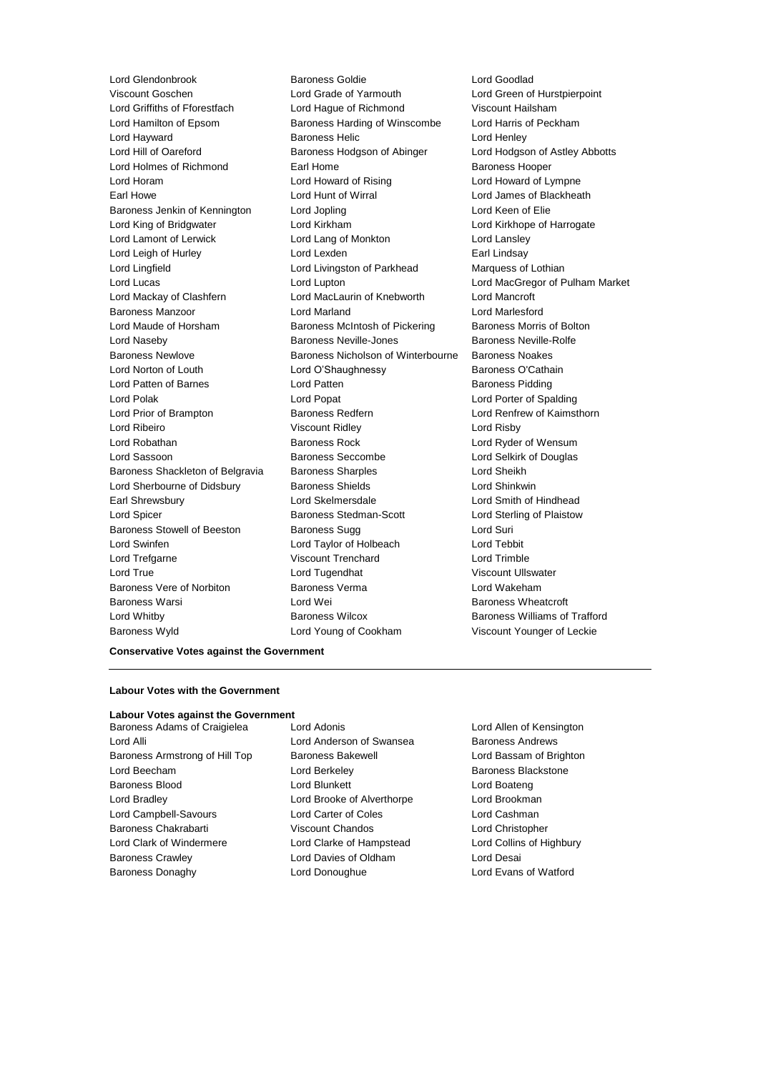Viscount Goschen Lord Grade of Yarmouth Lord Green of Hurstpierpoint Lord Griffiths of Fforestfach Lord Hague of Richmond Viscount Hailsham Lord Hamilton of Epsom Baroness Harding of Winscombe Lord Harris of Peckham Lord Hayward **Baroness Helic** Lord Henley Lord Hill of Oareford **Baroness Hodgson of Abinger** Lord Hodgson of Astley Abbotts Lord Holmes of Richmond Earl Home Earl Home Baroness Hooper Lord Horam Lord Howard of Rising Lord Howard of Lympne Earl Howe Lord Hunt of Wirral Lord James of Blackheath Baroness Jenkin of Kennington Lord Jopling Lord Keen of Elie Lord King of Bridgwater Lord Kirkham Lord Kirkhope of Harrogate Lord Lamont of Lerwick Lord Lord Lang of Monkton Lord Lansley Lord Leigh of Hurley **Lord Lexden** Earl Lindsay Lord Lingfield **Lord Livingston of Parkhead** Marquess of Lothian Lord Lucas Lord Lupton Lord MacGregor of Pulham Market Lord Mackay of Clashfern Lord MacLaurin of Knebworth Lord Mancroft Baroness Manzoor Lord Marland Lord Marlesford Lord Maude of Horsham Baroness McIntosh of Pickering Baroness Morris of Bolton Lord Naseby Baroness Neville-Jones Baroness Neville-Rolfe Baroness Newlove Baroness Nicholson of Winterbourne Baroness Noakes Lord Norton of Louth Lord O'Shaughnessy Baroness O'Cathain Lord Patten of Barnes **Lord Patten** Lord Patten **Baroness Pidding** Lord Polak Lord Popat Lord Porter of Spalding Lord Prior of Brampton Baroness Redfern **Baroness Redfern** Lord Renfrew of Kaimsthorn Lord Ribeiro Viscount Ridley Lord Risby Lord Robathan **Baroness Rock** Lord Ryder of Wensum Lord Sassoon Baroness Seccombe Lord Selkirk of Douglas Baroness Shackleton of Belgravia Baroness Sharples Lord Sheikh Lord Sherbourne of Didsbury **Baroness Shields Lord Shinkwin** Earl Shrewsbury Lord Skelmersdale Lord Smith of Hindhead Lord Spicer Baroness Stedman-Scott Lord Sterling of Plaistow Baroness Stowell of Beeston Baroness Sugg Lord Suri Lord Swinfen Lord Taylor of Holbeach Lord Tebbit Lord Trefgarne Viscount Trenchard Lord Trimble Lord True **Lord Tugendhat** Viscount Ullswater Baroness Vere of Norbiton Baroness Verma Lord Wakeham Baroness Warsi **Research Edit Controllering Lord Wei Baroness Wheatcroft** Baroness Wheatcroft Lord Whitby Baroness Wilcox Baroness Williams of Trafford

Lord Glendonbrook Baroness Goldie Lord Goodlad Baroness Wyld Lord Young of Cookham Viscount Younger of Leckie

### **Conservative Votes against the Government**

### **Labour Votes with the Government**

#### **Labour Votes against the Government**

- Lord Alli Lord Anderson of Swansea Baroness Andrews Baroness Armstrong of Hill Top Baroness Bakewell **Baroness Lord Bassam of Brighton** Lord Beecham **Lord Berkeley Baroness Blackstone** Baroness Blood Lord Blunkett Lord Boateng Lord Bradley Lord Brooke of Alverthorpe Lord Brookman Lord Campbell-Savours Lord Carter of Coles Lord Cashman Baroness Chakrabarti Viscount Chandos Lord Christopher Lord Clark of Windermere Lord Clarke of Hampstead Lord Collins of Highbury Baroness Crawley Lord Davies of Oldham Lord Desai Baroness Donaghy Lord Donoughue Lord Evans of Watford
- Baroness Adams of Craigielea Lord Adonis Lord Allen of Kensington
	-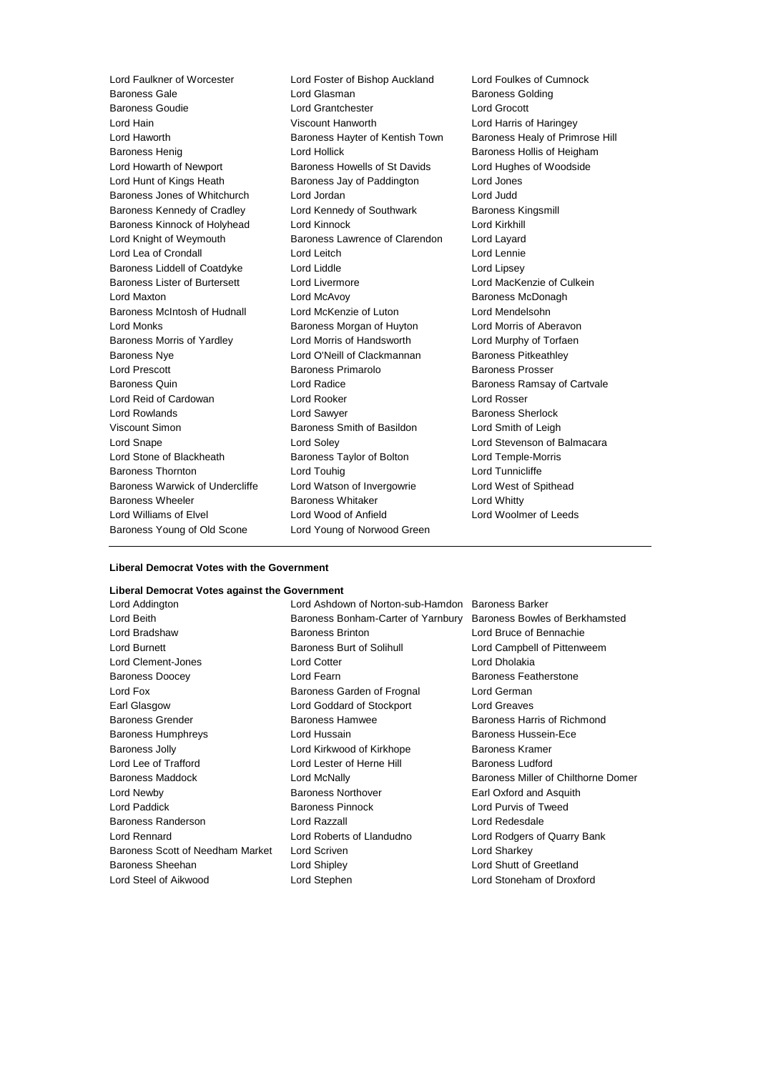Baroness Gale **Communist Construction Communist Construction** Construction Construction Baroness Golding Baroness Goudie Lord Grantchester Lord Grocott Lord Hain Viscount Hanworth Lord Harris of Haringey Lord Haworth **Baroness Hayter of Kentish Town** Baroness Healy of Primrose Hill Baroness Henig **Exercise Set Access** Lord Hollick **Baroness Hollis of Heigham** Lord Howarth of Newport Baroness Howells of St Davids Lord Hughes of Woodside Lord Hunt of Kings Heath Baroness Jay of Paddington Lord Jones Baroness Jones of Whitchurch Lord Jordan Lord Judd Baroness Kennedy of Cradley Lord Kennedy of Southwark Baroness Kingsmill Baroness Kinnock of Holyhead Lord Kinnock Lord Kirkhill Lord Knight of Weymouth Baroness Lawrence of Clarendon Lord Layard Lord Lea of Crondall Lord Leitch Lord Lennie Baroness Liddell of Coatdyke Lord Liddle Lord Lines Lord Lipsey Baroness Lister of Burtersett Lord Livermore Lord MacKenzie of Culkein Lord Maxton Lord McAvoy Baroness McDonagh Baroness McIntosh of Hudnall Lord McKenzie of Luton Lord Mendelsohn Lord Monks **Baroness Morgan of Huyton** Lord Morris of Aberavon Baroness Morris of Yardley **Lord Morris of Handsworth** Lord Murphy of Torfaen Baroness Nye **Lord O'Neill of Clackmannan** Baroness Pitkeathley Lord Prescott Baroness Primarolo Baroness Prosser Baroness Quin **Baroness** Quin Lord Radice **Baroness Ramsay of Cartvale** Lord Reid of Cardowan Lord Rooker Lord Rosser Lord Rowlands Lord Sawyer Baroness Sherlock Viscount Simon Baroness Smith of Basildon Lord Smith of Leigh Lord Snape Lord Soley Lord Stevenson of Balmacara Lord Stone of Blackheath Baroness Taylor of Bolton Lord Temple-Morris Baroness Thornton **Lord Touhig Lord Touhig Lord Tunnicliffe** Baroness Warwick of Undercliffe Lord Watson of Invergowrie Lord West of Spithead Baroness Wheeler **Baroness Whitaker** Lord Whitty Lord Williams of Elvel Lord Wood of Anfield Lord Woolmer of Leeds Baroness Young of Old Scone Lord Young of Norwood Green

Lord Faulkner of Worcester Lord Foster of Bishop Auckland Lord Foulkes of Cumnock

### **Liberal Democrat Votes with the Government**

### **Liberal Democrat Votes against the Government**

Lord Addington Lord Ashdown of Norton-sub-Hamdon Baroness Barker Lord Beith Baroness Bonham-Carter of Yarnbury Baroness Bowles of Berkhamsted Lord Bradshaw Baroness Brinton Lord Bruce of Bennachie Lord Burnett **Baroness Burt of Solihull** Lord Campbell of Pittenweem Lord Clement-Jones Lord Cotter Lord Dholakia Baroness Doocey **Lord Fearn Baroness Featherstone** Lord Fox **Baroness Garden of Frognal** Lord German Earl Glasgow Lord Goddard of Stockport Lord Greaves Baroness Grender Baroness Hamwee Baroness Harris of Richmond Baroness Humphreys Lord Hussain Baroness Hussein-Ece Baroness Jolly **Lord Kirkwood of Kirkhope** Baroness Kramer Lord Lee of Trafford **Lord Lester of Herne Hill** Baroness Ludford Lord Newby Baroness Northover Earl Oxford and Asquith Lord Paddick Baroness Pinnock Lord Purvis of Tweed Baroness Randerson Lord Razzall Lord Redesdale Lord Rennard Lord Roberts of Llandudno Lord Rodgers of Quarry Bank Baroness Scott of Needham Market Lord Scriven Lord Sharkey Baroness Sheehan Lord Shipley Lord Shutt of Greetland

Lord Steel of Aikwood Lord Stephen Lord Stoneham of Droxford

Baroness Maddock Lord McNally Baroness Miller of Chilthorne Domer